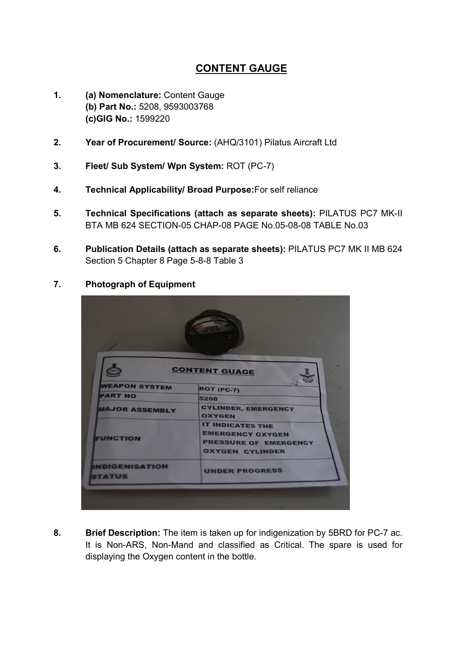## CONTENT GAUGE

- 1. (a) Nomenclature: Content Gauge (b) Part No.: 5208, 9593003768 (c)GIG No.: 1599220
- 2. Year of Procurement/ Source: (AHQ/3101) Pilatus Aircraft Ltd
- 3. Fleet/ Sub System/ Wpn System: ROT (PC-7)
- 4. Technical Applicability/ Broad Purpose:For self reliance
- 5. Technical Specifications (attach as separate sheets): PILATUS PC7 MK-II BTA MB 624 SECTION-05 CHAP-08 PAGE No.05-08-08 TABLE No.03
- 6. Publication Details (attach as separate sheets): PILATUS PC7 MK II MB 624 Section 5 Chapter 8 Page 5-8-8 Table 3

## 7. Photograph of Equipment



8. Brief Description: The item is taken up for indigenization by 5BRD for PC-7 ac. It is Non-ARS, Non-Mand and classified as Critical. The spare is used for displaying the Oxygen content in the bottle.